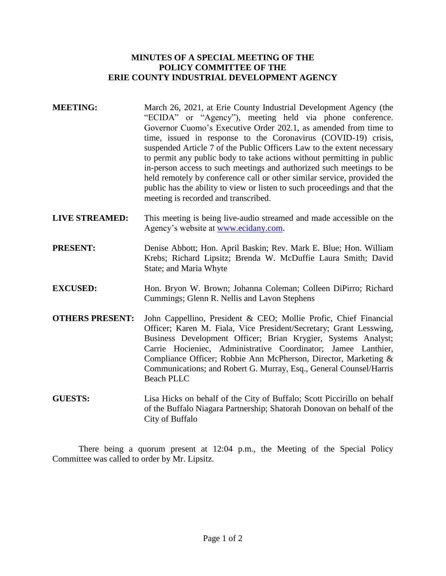## **MINUTES OF A SPECIAL MEETING OF THE POLICY COMMITTEE OF THE ERIE COUNTY INDUSTRIAL DEVELOPMENT AGENCY**

- **MEETING:** March 26, 2021, at Erie County Industrial Development Agency (the "ECIDA" or "Agency"), meeting held via phone conference. Governor Cuomo's Executive Order 202.1, as amended from time to time, issued in response to the Coronavirus (COVID-19) crisis, suspended Article 7 of the Public Officers Law to the extent necessary to permit any public body to take actions without permitting in public in-person access to such meetings and authorized such meetings to be held remotely by conference call or other similar service, provided the public has the ability to view or listen to such proceedings and that the meeting is recorded and transcribed.
- **LIVE STREAMED:** This meeting is being live-audio streamed and made accessible on the Agency's website at [www.ecidany.com.](http://www.ecidany.com/)
- **PRESENT:** Denise Abbott; Hon. April Baskin; Rev. Mark E. Blue; Hon. William Krebs; Richard Lipsitz; Brenda W. McDuffie Laura Smith; David State; and Maria Whyte
- **EXCUSED:** Hon. Bryon W. Brown; Johanna Coleman; Colleen DiPirro; Richard Cummings; Glenn R. Nellis and Lavon Stephens
- **OTHERS PRESENT:** John Cappellino, President & CEO; Mollie Profic, Chief Financial Officer; Karen M. Fiala, Vice President/Secretary; Grant Lesswing, Business Development Officer; Brian Krygier, Systems Analyst; Carrie Hocieniec, Administrative Coordinator; Jamee Lanthier, Compliance Officer; Robbie Ann McPherson, Director, Marketing & Communications; and Robert G. Murray, Esq., General Counsel/Harris Beach PLLC
- **GUESTS:** Lisa Hicks on behalf of the City of Buffalo; Scott Piccirillo on behalf of the Buffalo Niagara Partnership; Shatorah Donovan on behalf of the City of Buffalo

There being a quorum present at 12:04 p.m., the Meeting of the Special Policy Committee was called to order by Mr. Lipsitz.